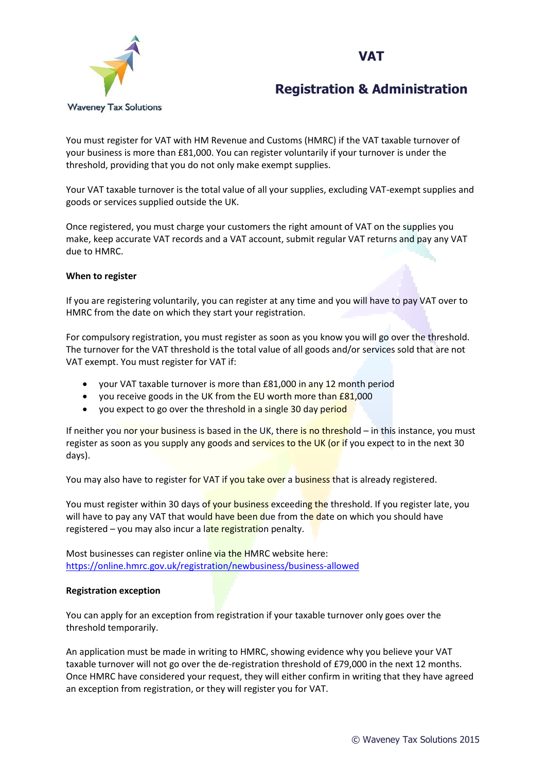### **VAT**



# **Registration & Administration**

You must register for VAT with HM Revenue and Customs (HMRC) if the VAT taxable turnover of your business is more than £81,000. You can register voluntarily if your turnover is under the threshold, providing that you do not only make exempt supplies.

Your VAT taxable turnover is the total value of all your supplies, excluding VAT-exempt supplies and goods or services supplied outside the UK.

Once registered, you must charge your customers the right amount of VAT on the supplies you make, keep accurate VAT records and a VAT account, submit regular VAT returns and pay any VAT due to HMRC.

#### **When to register**

If you are registering voluntarily, you can register at any time and you will have to pay VAT over to HMRC from the date on which they start your registration.

For compulsory registration, you must register as soon as you know you will go over the threshold. The turnover for the VAT threshold is the total value of all goods and/or services sold that are not VAT exempt. You must register for VAT if:

- your VAT taxable turnover is more than £81,000 in any 12 month period
- you receive goods in the UK from the EU worth more than £81,000
- you expect to go over the threshold in a single 30 day period

If neither you nor your business is based in the UK, there is no threshold – in this instance, you must register as soon as you supply any goods and services to the UK (or if you expect to in the next 30 days).

You may also have to register for VAT if you take over a business that is already registered.

You must register within 30 days of your business exceeding the threshold. If you register late, you will have to pay any VAT that would have been due from the date on which you should have registered  $-$  you may also incur a late registration penalty.

Most businesses can register online via the HMRC website here: <https://online.hmrc.gov.uk/registration/newbusiness/business-allowed>

#### **Registration exception**

You can apply for an exception from registration if your taxable turnover only goes over the threshold temporarily.

An application must be made in writing to HMRC, showing evidence why you believe your VAT taxable turnover will not go over the de-registration threshold of £79,000 in the next 12 months. Once HMRC have considered your request, they will either confirm in writing that they have agreed an exception from registration, or they will register you for VAT.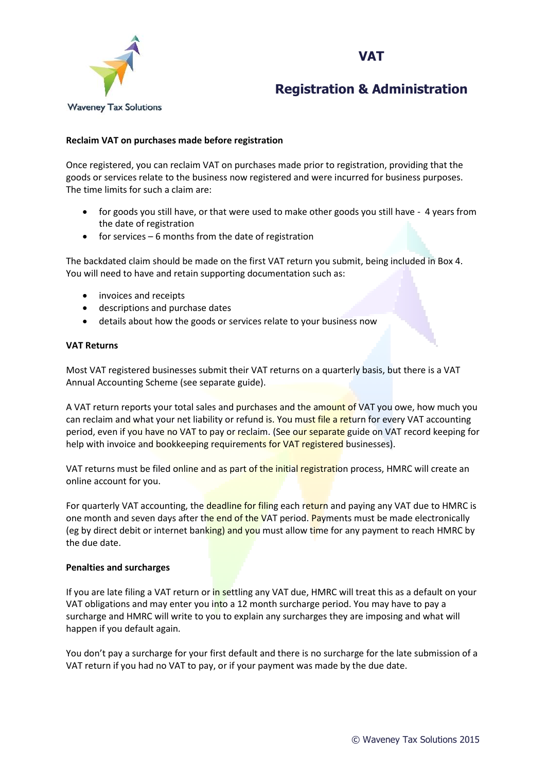



## **Registration & Administration**

### **Reclaim VAT on purchases made before registration**

Once registered, you can reclaim VAT on purchases made prior to registration, providing that the goods or services relate to the business now registered and were incurred for business purposes. The time limits for such a claim are:

- for goods you still have, or that were used to make other goods you still have 4 years from the date of registration
- $\bullet$  for services 6 months from the date of registration

The backdated claim should be made on the first VAT return you submit, being included in Box 4. You will need to have and retain supporting documentation such as:

- invoices and receipts
- descriptions and purchase dates
- details about how the goods or services relate to your business now

#### **VAT Returns**

Most VAT registered businesses submit their VAT returns on a quarterly basis, but there is a VAT Annual Accounting Scheme (see separate guide).

A VAT return reports your total sales and purchases and the amount of VAT you owe, how much you can reclaim and what your net liability or refund is. You must file a return for every VAT accounting period, even if you have no VAT to pay or reclaim. (See our separate guide on VAT record keeping for help with invoice and bookkeeping requirements for VAT registered businesses).

VAT returns must be filed online and as part of the initial registration process, HMRC will create an online account for you.

For quarterly VAT accounting, the **deadline for filin**g each return and paying any VAT due to HMRC is one month and seven days after the end of the VAT period. Payments must be made electronically (eg by direct debit or internet banking) and you must allow time for any payment to reach HMRC by the due date.

#### **Penalties and surcharges**

If you are late filing a VAT return or in settling any VAT due, HMRC will treat this as a default on your VAT obligations and may enter you into a 12 month surcharge period. You may have to pay a surcharge and HMRC will write to you to explain any surcharges they are imposing and what will happen if you default again.

You don't pay a surcharge for your first default and there is no surcharge for the late submission of a VAT return if you had no VAT to pay, or if your payment was made by the due date.